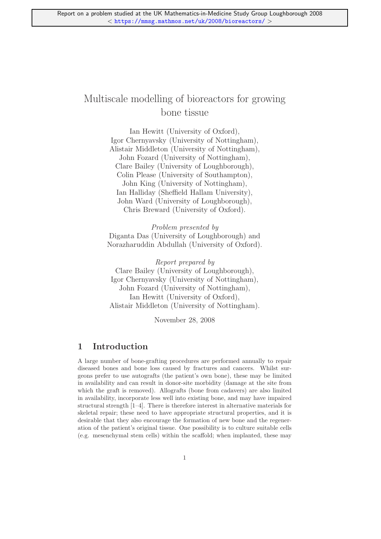# Multiscale modelling of bioreactors for growing bone tissue

Ian Hewitt (University of Oxford), Igor Chernyavsky (University of Nottingham), Alistair Middleton (University of Nottingham), John Fozard (University of Nottingham), Clare Bailey (University of Loughborough), Colin Please (University of Southampton), John King (University of Nottingham), Ian Halliday (Sheffield Hallam University), John Ward (University of Loughborough), Chris Breward (University of Oxford).

Problem presented by Diganta Das (University of Loughborough) and Norazharuddin Abdullah (University of Oxford).

Report prepared by Clare Bailey (University of Loughborough), Igor Chernyavsky (University of Nottingham), John Fozard (University of Nottingham), Ian Hewitt (University of Oxford), Alistair Middleton (University of Nottingham).

November 28, 2008

# 1 Introduction

A large number of bone-grafting procedures are performed annually to repair diseased bones and bone loss caused by fractures and cancers. Whilst surgeons prefer to use autografts (the patient's own bone), these may be limited in availability and can result in donor-site morbidity (damage at the site from which the graft is removed). Allografts (bone from cadavers) are also limited in availability, incorporate less well into existing bone, and may have impaired structural strength [1–4]. There is therefore interest in alternative materials for skeletal repair; these need to have appropriate structural properties, and it is desirable that they also encourage the formation of new bone and the regeneration of the patient's original tissue. One possibility is to culture suitable cells (e.g. mesenchymal stem cells) within the scaffold; when implanted, these may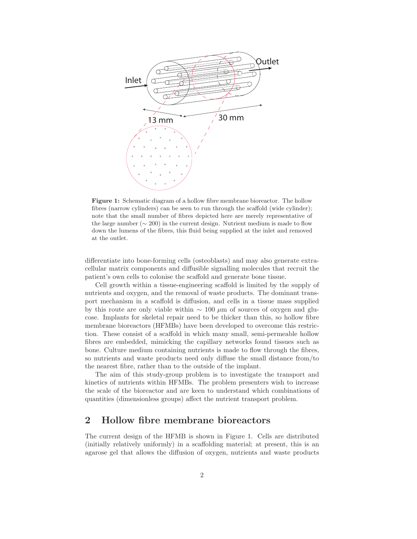

Figure 1: Schematic diagram of a hollow fibre membrane bioreactor. The hollow fibres (narrow cylinders) can be seen to run through the scaffold (wide cylinder); note that the small number of fibres depicted here are merely representative of the large number ( $\sim$  200) in the current design. Nutrient medium is made to flow down the lumens of the fibres, this fluid being supplied at the inlet and removed at the outlet.

differentiate into bone-forming cells (osteoblasts) and may also generate extracellular matrix components and diffusible signalling molecules that recruit the patient's own cells to colonise the scaffold and generate bone tissue.

Cell growth within a tissue-engineering scaffold is limited by the supply of nutrients and oxygen, and the removal of waste products. The dominant transport mechanism in a scaffold is diffusion, and cells in a tissue mass supplied by this route are only viable within  $\sim 100 \ \mu m$  of sources of oxygen and glucose. Implants for skeletal repair need to be thicker than this, so hollow fibre membrane bioreactors (HFMBs) have been developed to overcome this restriction. These consist of a scaffold in which many small, semi-permeable hollow fibres are embedded, mimicking the capillary networks found tissues such as bone. Culture medium containing nutrients is made to flow through the fibres, so nutrients and waste products need only diffuse the small distance from/to the nearest fibre, rather than to the outside of the implant.

The aim of this study-group problem is to investigate the transport and kinetics of nutrients within HFMBs. The problem presenters wish to increase the scale of the bioreactor and are keen to understand which combinations of quantities (dimensionless groups) affect the nutrient transport problem.

### 2 Hollow fibre membrane bioreactors

The current design of the HFMB is shown in Figure 1. Cells are distributed (initially relatively uniformly) in a scaffolding material; at present, this is an agarose gel that allows the diffusion of oxygen, nutrients and waste products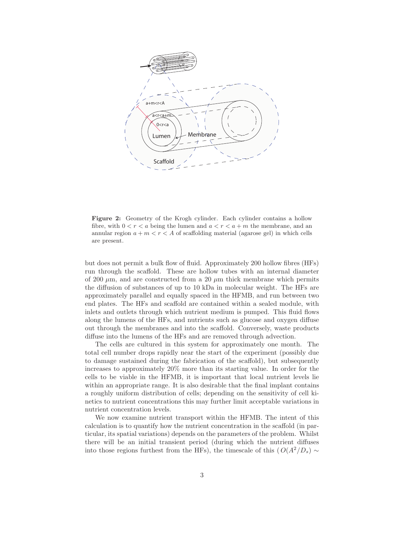

Figure 2: Geometry of the Krogh cylinder. Each cylinder contains a hollow fibre, with  $0 < r < a$  being the lumen and  $a < r < a+m$  the membrane, and an annular region  $a + m < r < A$  of scaffolding material (agarose gel) in which cells are present.

but does not permit a bulk flow of fluid. Approximately 200 hollow fibres (HFs) run through the scaffold. These are hollow tubes with an internal diameter of 200  $\mu$ m, and are constructed from a 20  $\mu$ m thick membrane which permits the diffusion of substances of up to 10 kDa in molecular weight. The HFs are approximately parallel and equally spaced in the HFMB, and run between two end plates. The HFs and scaffold are contained within a sealed module, with inlets and outlets through which nutrient medium is pumped. This fluid flows along the lumens of the HFs, and nutrients such as glucose and oxygen diffuse out through the membranes and into the scaffold. Conversely, waste products diffuse into the lumens of the HFs and are removed through advection.

The cells are cultured in this system for approximately one month. The total cell number drops rapidly near the start of the experiment (possibly due to damage sustained during the fabrication of the scaffold), but subsequently increases to approximately 20% more than its starting value. In order for the cells to be viable in the HFMB, it is important that local nutrient levels lie within an appropriate range. It is also desirable that the final implant contains a roughly uniform distribution of cells; depending on the sensitivity of cell kinetics to nutrient concentrations this may further limit acceptable variations in nutrient concentration levels.

We now examine nutrient transport within the HFMB. The intent of this calculation is to quantify how the nutrient concentration in the scaffold (in particular, its spatial variations) depends on the parameters of the problem. Whilst there will be an initial transient period (during which the nutrient diffuses into those regions furthest from the HFs), the timescale of this  $(O(A^2/D_s) \sim$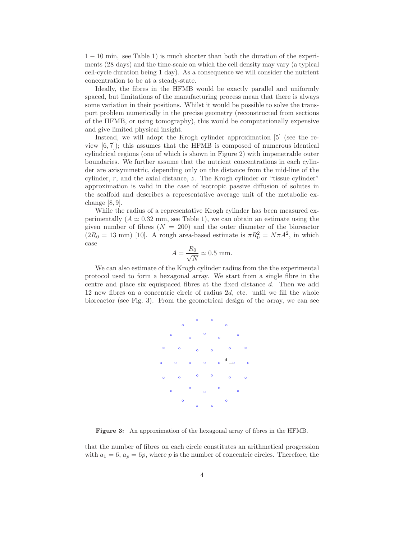1 − 10 min, see Table 1) is much shorter than both the duration of the experiments (28 days) and the time-scale on which the cell density may vary (a typical cell-cycle duration being 1 day). As a consequence we will consider the nutrient concentration to be at a steady-state.

Ideally, the fibres in the HFMB would be exactly parallel and uniformly spaced, but limitations of the manufacturing process mean that there is always some variation in their positions. Whilst it would be possible to solve the transport problem numerically in the precise geometry (reconstructed from sections of the HFMB, or using tomography), this would be computationally expensive and give limited physical insight.

Instead, we will adopt the Krogh cylinder approximation [5] (see the review [6, 7]); this assumes that the HFMB is composed of numerous identical cylindrical regions (one of which is shown in Figure 2) with impenetrable outer boundaries. We further assume that the nutrient concentrations in each cylinder are axisymmetric, depending only on the distance from the mid-line of the cylinder,  $r$ , and the axial distance,  $z$ . The Krogh cylinder or "tissue cylinder" approximation is valid in the case of isotropic passive diffusion of solutes in the scaffold and describes a representative average unit of the metabolic exchange [8, 9].

While the radius of a representative Krogh cylinder has been measured experimentally  $(A \simeq 0.32$  mm, see Table 1), we can obtain an estimate using the given number of fibres  $(N = 200)$  and the outer diameter of the bioreactor  $(2R_0 = 13 \text{ mm})$  [10]. A rough area-based estimate is  $\pi R_0^2 = N \pi A^2$ , in which case

$$
A = \frac{R_0}{\sqrt{N}} \simeq 0.5
$$
 mm.

We can also estimate of the Krogh cylinder radius from the the experimental protocol used to form a hexagonal array. We start from a single fibre in the centre and place six equispaced fibres at the fixed distance d. Then we add 12 new fibres on a concentric circle of radius  $2d$ , etc. until we fill the whole bioreactor (see Fig. 3). From the geometrical design of the array, we can see



Figure 3: An approximation of the hexagonal array of fibres in the HFMB.

that the number of fibres on each circle constitutes an arithmetical progression with  $a_1 = 6$ ,  $a_p = 6p$ , where p is the number of concentric circles. Therefore, the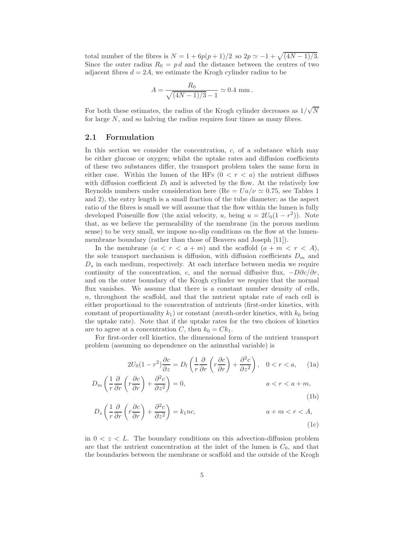total number of the fibres is  $N = 1 + 6p(p+1)/2$  so  $2p \simeq -1 + \sqrt{(4N-1)/3}$ . Since the outer radius  $R_0 = pd$  and the distance between the centres of two adjacent fibres  $d = 2A$ , we estimate the Krogh cylinder radius to be

$$
A = \frac{R_0}{\sqrt{(4N-1)/3} - 1} \simeq 0.4 \text{ mm}.
$$

For both these estimates, the radius of the Krogh cylinder decreases as  $1/\sqrt{N}$ for large N, and so halving the radius requires four times as many fibres.

#### 2.1 Formulation

In this section we consider the concentration,  $c$ , of a substance which may be either glucose or oxygen; whilst the uptake rates and diffusion coefficients of these two substances differ, the transport problem takes the same form in either case. Within the lumen of the HFs  $(0 < r < a)$  the nutrient diffuses with diffusion coefficient  $D_l$  and is advected by the flow. At the relatively low Reynolds numbers under consideration here (Re =  $Ua/\nu \approx 0.75$ , see Tables 1 and 2), the entry length is a small fraction of the tube diameter; as the aspect ratio of the fibres is small we will assume that the flow within the lumen is fully developed Poiseuille flow (the axial velocity, u, being  $u = 2U_0(1 - r^2)$ ). Note that, as we believe the permeability of the membrane (in the porous medium sense) to be very small, we impose no-slip conditions on the flow at the lumenmembrane boundary (rather than those of Beavers and Joseph [11]).

In the membrane  $(a < r < a+m)$  and the scaffold  $(a + m < r < A)$ , the sole transport mechanism is diffusion, with diffusion coefficients  $D_m$  and  $D<sub>s</sub>$  in each medium, respectively. At each interface between media we require continuity of the concentration, c, and the normal diffusive flux,  $-D\partial c/\partial r$ , and on the outer boundary of the Krogh cylinder we require that the normal flux vanishes. We assume that there is a constant number density of cells, n, throughout the scaffold, and that the nutrient uptake rate of each cell is either proportional to the concentration of nutrients (first-order kinetics, with constant of proportionality  $k_1$ ) or constant (zeroth-order kinetics, with  $k_0$  being the uptake rate). Note that if the uptake rates for the two choices of kinetics are to agree at a concentration C, then  $k_0 = Ck_1$ .

For first-order cell kinetics, the dimensional form of the nutrient transport problem (assuming no dependence on the azimuthal variable) is

$$
2U_0(1-r^2)\frac{\partial c}{\partial z} = D_l\left(\frac{1}{r}\frac{\partial}{\partial r}\left(r\frac{\partial c}{\partial r}\right) + \frac{\partial^2 c}{\partial z^2}\right), \quad 0 < r < a,\qquad(1a)
$$

$$
D_m\left(\frac{1}{r}\frac{\partial}{\partial r}\left(r\frac{\partial c}{\partial r}\right) + \frac{\partial^2 c}{\partial z^2}\right) = 0, \qquad a < r < a + m,
$$
\n(1b)

$$
D_s \left( \frac{1}{r} \frac{\partial}{\partial r} \left( r \frac{\partial c}{\partial r} \right) + \frac{\partial^2 c}{\partial z^2} \right) = k_1 n c, \qquad a + m < r < A,
$$
\n(1c)

in  $0 < z < L$ . The boundary conditions on this advection-diffusion problem are that the nutrient concentration at the inlet of the lumen is  $C_0$ , and that the boundaries between the membrane or scaffold and the outside of the Krogh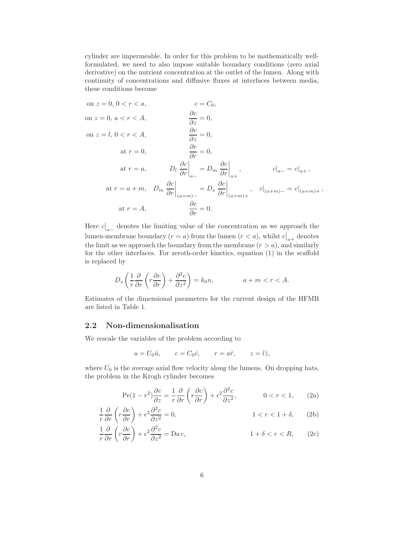cylinder are impermeable. In order for this problem to be mathematically wellformulated, we need to also impose suitable boundary conditions (zero axial derivative) on the nutrient concentration at the outlet of the lumen. Along with continuity of concentrations and diffusive fluxes at interfaces between media, these conditions become

on 
$$
z = 0, 0 < r < a
$$
,  $c = C_0$ ,  
\non  $z = 0, a < r < A$ ,  $\frac{\partial c}{\partial z} = 0$ ,  
\non  $z = l, 0 < r < A$ ,  $\frac{\partial c}{\partial z} = 0$ ,  
\nat  $r = 0$ ,  $\frac{\partial c}{\partial r} = 0$ ,  
\nat  $r = a$ ,  $D_l \frac{\partial c}{\partial r} \Big|_{a-} = D_m \frac{\partial c}{\partial r} \Big|_{a+}$ ,  $c|_{a-} = c|_{a+}$ ,  
\nat  $r = a + m$ ,  $D_m \frac{\partial c}{\partial r} \Big|_{(a+m)-} = D_s \frac{\partial c}{\partial r} \Big|_{(a+m)+}$ ,  $c|_{(a+m)-} = c|_{(a+m)+}$ ,  
\nat  $r = A$ ,  $\frac{\partial c}{\partial r} = 0$ .

Here  $c|_{a-}$  denotes the limiting value of the concentration as we approach the lumen-membrane boundary  $(r = a)$  from the lumen  $(r < a)$ , whilst  $c|_{a+}$  denotes the limit as we approach the boundary from the membrane  $(r > a)$ , and similarly for the other interfaces. For zeroth-order kinetics, equation (1) in the scaffold is replaced by

$$
D_s \left( \frac{1}{r} \frac{\partial}{\partial r} \left( r \frac{\partial c}{\partial r} \right) + \frac{\partial^2 c}{\partial z^2} \right) = k_0 n, \qquad a + m < r < A.
$$

Estimates of the dimensional parameters for the current design of the HFMB are listed in Table 1.

#### 2.2 Non-dimensionalisation

We rescale the variables of the problem according to

$$
u = U_0 \hat{u}, \qquad c = C_0 \hat{c}, \qquad r = a\hat{r}, \qquad z = l\hat{z},
$$

where  $U_0$  is the average axial flow velocity along the lumens. On dropping hats, the problem in the Krogh cylinder becomes

$$
\text{Pe}(1 - r^2) \frac{\partial c}{\partial z} = \frac{1}{r} \frac{\partial}{\partial r} \left( r \frac{\partial c}{\partial r} \right) + \epsilon^2 \frac{\partial^2 c}{\partial z^2}, \qquad 0 < r < 1,\tag{2a}
$$

$$
\frac{1}{r}\frac{\partial}{\partial r}\left(r\frac{\partial c}{\partial r}\right) + \epsilon^2 \frac{\partial^2 c}{\partial z^2} = 0, \qquad 1 < r < 1 + \delta, \qquad (2b)
$$

$$
\frac{1}{r}\frac{\partial}{\partial r}\left(r\frac{\partial c}{\partial r}\right) + \epsilon^2 \frac{\partial^2 c}{\partial z^2} = \text{Da } c,
$$
\n
$$
1 + \delta < r < R,\qquad(2c)
$$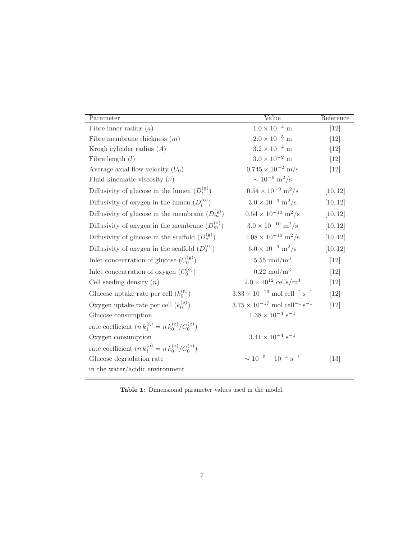| Parameter                                                | Value                                             | Reference |
|----------------------------------------------------------|---------------------------------------------------|-----------|
| Fibre inner radius $(a)$                                 | $1.0\times10^{-4}$ m                              | $[12]$    |
| Fibre membrane thickness $(m)$                           | $2.0\times10^{-5}$ m                              | [12]      |
| Krogh cylinder radius $(A)$                              | $3.2\times10^{-4}$ m                              | $[12]$    |
| Fibre length $(l)$                                       | $3.0\times10^{-2}$ m                              | [12]      |
| Average axial flow velocity $(U_0)$                      | $0.745 \times 10^{-2}$ m/s                        | $[12]$    |
| Fluid kinematic viscosity $(\nu)$                        | $\sim 10^{-6}$ m <sup>2</sup> /s                  |           |
| Diffusivity of glucose in the lumen $(D_l^{(g)})$        | $0.54 \times 10^{-9}$ m <sup>2</sup> /s           | [10, 12]  |
| Diffusivity of oxygen in the lumen $(D_l^{(o)})$         | $3.0 \times 10^{-9}$ m <sup>2</sup> /s            | [10, 12]  |
| Diffusivity of glucose in the membrane $(D_m^{(g)})$     | $0.54 \times 10^{-10}$ m <sup>2</sup> /s          | [10, 12]  |
| Diffusivity of oxygen in the membrane $(D_m^{(o)})$      | $3.0 \times 10^{-10}$ m <sup>2</sup> /s           | [10, 12]  |
| Diffusivity of glucose in the scaffold $(D_s^{(g)})$     | $1.08 \times 10^{-10}$ m <sup>2</sup> /s          | [10, 12]  |
| Diffusivity of oxygen in the scaffold $(D_s^{(o)})$      | $6.0 \times 10^{-9}$ m <sup>2</sup> /s            | [10, 12]  |
| Inlet concentration of glucose $(C_0^{(g)})$             | $5.55 \text{ mol/m}^3$                            | $[12]$    |
| Inlet concentration of oxygen $(C_0^{(0)})$              | $0.22 \text{ mol/m}^3$                            | [12]      |
| Cell seeding density $(n)$                               | $2.0 \times 10^{12}$ cells/m <sup>3</sup>         | [12]      |
| Glucose uptake rate per cell $(k_0^{(g)})$               | $3.83\times10^{-16}$ mol $\rm{cell^{-1}\,s^{-1}}$ | [12]      |
| Oxygen uptake rate per cell $(k_0^{(0)})$                | $3.75\times10^{-17}$ mol $\rm{cell^{-1}\,s^{-1}}$ | $[12]$    |
| Glucose consumption                                      | $1.38 \times 10^{-4} \text{ s}^{-1}$              |           |
| rate coefficient $(n k_1^{(g)} = n k_0^{(g)}/C_0^{(g)})$ |                                                   |           |
| Oxygen consumption                                       | $3.41 \times 10^{-4}$ s <sup>-1</sup>             |           |
| rate coefficient $(n k_1^{(o)} = n k_0^{(o)}/C_0^{(o)})$ |                                                   |           |
| Glucose degradation rate                                 | $\sim 10^{-5} - 10^{-4}$ s <sup>-1</sup>          | $[13]$    |
| in the water/acidic environment                          |                                                   |           |

Table 1: Dimensional parameter values used in the model.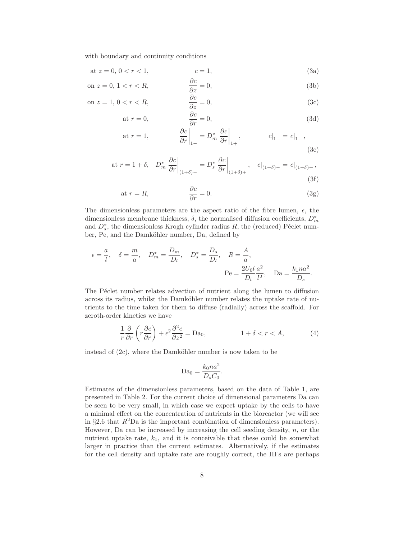with boundary and continuity conditions

at 
$$
z = 0, 0 < r < 1,
$$
  $c = 1,$  (3a)

on 
$$
z = 0, 1 < r < R
$$
, 
$$
\frac{\partial c}{\partial z} = 0,
$$
 (3b)

on 
$$
z = 1, 0 < r < R
$$
,  $\frac{\partial c}{\partial z} = 0$ , (3c)

$$
at r = 0, \qquad \frac{\partial c}{\partial r} = 0,
$$
\n(3d)

at 
$$
r = 1
$$
,  $\left. \frac{\partial c}{\partial r} \right|_{1-} = D_m^* \left. \frac{\partial c}{\partial r} \right|_{1+}$ ,  $c|_{1-} = c|_{1+}$ , (3e)

at 
$$
r = 1 + \delta
$$
,  $D_m^* \frac{\partial c}{\partial r}\Big|_{(1+\delta)_-} = D_s^* \frac{\partial c}{\partial r}\Big|_{(1+\delta)_+}$ ,  $c|_{(1+\delta)_-} = c|_{(1+\delta)_+}$ , (3f)

at 
$$
r = R
$$
,  $\frac{\partial c}{\partial r} = 0$ . (3g)

The dimensionless parameters are the aspect ratio of the fibre lumen,  $\epsilon$ , the dimensionless membrane thickness,  $\delta$ , the normalised diffusion coefficients,  $D_m^*$ and  $D_s^*$ , the dimensionless Krogh cylinder radius R, the (reduced) Péclet number, Pe, and the Damköhler number, Da, defined by

$$
\epsilon = \frac{a}{l}, \quad \delta = \frac{m}{a}, \quad D_m^* = \frac{D_m}{D_l}, \quad D_s^* = \frac{D_s}{D_l}, \quad R = \frac{A}{a},
$$

$$
\text{Pe} = \frac{2U_0l}{D_l} \frac{a^2}{l^2}, \quad \text{Da} = \frac{k_1 n a^2}{D_s}.
$$

The Péclet number relates advection of nutrient along the lumen to diffusion across its radius, whilst the Damköhler number relates the uptake rate of nutrients to the time taken for them to diffuse (radially) across the scaffold. For zeroth-order kinetics we have

$$
\frac{1}{r}\frac{\partial}{\partial r}\left(r\frac{\partial c}{\partial r}\right) + \epsilon^2 \frac{\partial^2 c}{\partial z^2} = \text{Da}_0, \qquad 1 + \delta < r < A,\tag{4}
$$

instead of  $(2c)$ , where the Damköhler number is now taken to be

$$
Da_0 = \frac{k_0 n a^2}{D_s C_0}.
$$

Estimates of the dimensionless parameters, based on the data of Table 1, are presented in Table 2. For the current choice of dimensional parameters Da can be seen to be very small, in which case we expect uptake by the cells to have a minimal effect on the concentration of nutrients in the bioreactor (we will see in §2.6 that  $R^2$ Da is the important combination of dimensionless parameters). However, Da can be increased by increasing the cell seeding density,  $n$ , or the nutrient uptake rate,  $k_1$ , and it is conceivable that these could be somewhat larger in practice than the current estimates. Alternatively, if the estimates for the cell density and uptake rate are roughly correct, the HFs are perhaps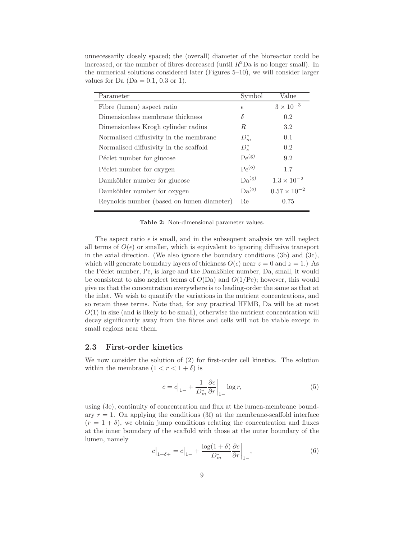| unnecessarily closely spaced; the (overall) diameter of the bioreactor could be      |
|--------------------------------------------------------------------------------------|
| increased, or the number of fibres decreased (until $R^2$ Da is no longer small). In |
| the numerical solutions considered later (Figures $5-10$ ), we will consider larger  |
| values for Da $(Da = 0.1, 0.3$ or 1).                                                |
|                                                                                      |

| Parameter                                 | Symbol            | Value                 |
|-------------------------------------------|-------------------|-----------------------|
| Fibre (lumen) aspect ratio                | $\epsilon$        | $3\times10^{-3}$      |
| Dimensionless membrane thickness          | δ                 | 0.2                   |
| Dimensionless Krogh cylinder radius       | R                 | 3.2                   |
| Normalised diffusivity in the membrane    | $D_m^*$           | 0.1                   |
| Normalised diffusivity in the scaffold    | $D_s^*$           | 0.2                   |
| Péclet number for glucose                 | Pe <sup>(g)</sup> | 9.2                   |
| Péclet number for oxygen                  | Pe <sup>(o)</sup> | 1.7                   |
| Damköhler number for glucose              | Da <sup>(g)</sup> | $1.3 \times 10^{-2}$  |
| Damköhler number for oxygen               | Da <sup>(o)</sup> | $0.57 \times 10^{-2}$ |
| Reynolds number (based on lumen diameter) | Re                | 0.75                  |
|                                           |                   |                       |

Table 2: Non-dimensional parameter values.

The aspect ratio  $\epsilon$  is small, and in the subsequent analysis we will neglect all terms of  $O(\epsilon)$  or smaller, which is equivalent to ignoring diffusive transport in the axial direction. (We also ignore the boundary conditions  $(3b)$  and  $(3c)$ , which will generate boundary layers of thickness  $O(\epsilon)$  near  $z = 0$  and  $z = 1$ .) As the Péclet number, Pe, is large and the Damköhler number, Da, small, it would be consistent to also neglect terms of  $O(Da)$  and  $O(1/Pe)$ ; however, this would give us that the concentration everywhere is to leading-order the same as that at the inlet. We wish to quantify the variations in the nutrient concentrations, and so retain these terms. Note that, for any practical HFMB, Da will be at most  $O(1)$  in size (and is likely to be small), otherwise the nutrient concentration will decay significantly away from the fibres and cells will not be viable except in small regions near them.

#### 2.3 First-order kinetics

We now consider the solution of (2) for first-order cell kinetics. The solution within the membrane  $(1 < r < 1 + \delta)$  is

$$
c = c\big|_{1-} + \frac{1}{D_m^*} \frac{\partial c}{\partial r} \big|_{1-} \log r,\tag{5}
$$

using (3e), continuity of concentration and flux at the lumen-membrane boundary  $r = 1$ . On applying the conditions (3f) at the membrane-scaffold interface  $(r = 1 + \delta)$ , we obtain jump conditions relating the concentration and fluxes at the inner boundary of the scaffold with those at the outer boundary of the lumen, namely

$$
c\big|_{1+\delta+} = c\big|_{1-} + \frac{\log(1+\delta)}{D_m^*} \frac{\partial c}{\partial r}\big|_{1-},\tag{6}
$$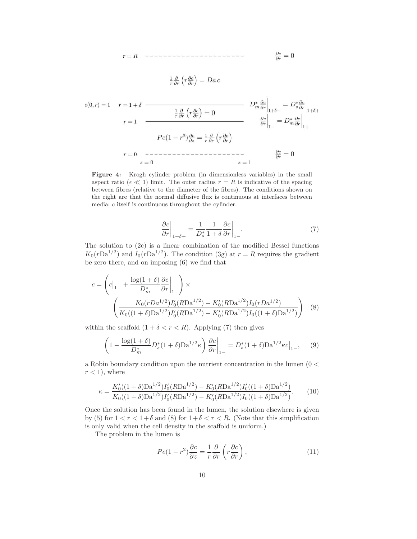$$
\frac{1}{r}\frac{\partial}{\partial r}\left(r\frac{\partial c}{\partial r}\right) = Da c
$$

$$
c(0,r) = 1 \quad r = 1 + \delta
$$
\n
$$
\frac{1}{r} \frac{\partial}{\partial r} \left( r \frac{\partial c}{\partial r} \right) = 0
$$
\n
$$
r = 1
$$
\n
$$
Pe(1 - r^2) \frac{\partial c}{\partial z} = \frac{1}{r} \frac{\partial}{\partial r} \left( r \frac{\partial c}{\partial r} \right)
$$
\n
$$
r = 0
$$
\n
$$
z = 0
$$
\n
$$
z = 1
$$
\n
$$
D_m^* \frac{\partial c}{\partial r} \Big|_{1 + \delta - 1} = D_s^* \frac{\partial c}{\partial r} \Big|_{1 + \delta + 1}
$$
\n
$$
D_m^* \frac{\partial c}{\partial r} \Big|_{1 + \delta - 1} = D_s^* \frac{\partial c}{\partial r} \Big|_{1 + \delta + 1}
$$
\n
$$
D_m^* \frac{\partial c}{\partial r} \Big|_{1 + \delta - 1} = D_s^* \frac{\partial c}{\partial r} \Big|_{1 + \delta + 1}
$$
\n
$$
D_m^* \frac{\partial c}{\partial r} \Big|_{1 + \delta - 1} = D_s^* \frac{\partial c}{\partial r} \Big|_{1 + \delta - 1}
$$

Figure 4: Krogh cylinder problem (in dimensionless variables) in the small aspect ratio ( $\epsilon \ll 1$ ) limit. The outer radius  $r = R$  is indicative of the spacing between fibres (relative to the diameter of the fibres). The conditions shown on the right are that the normal diffusive flux is continuous at interfaces between media; c itself is continuous throughout the cylinder.

$$
\left. \frac{\partial c}{\partial r} \right|_{1+\delta+} = \frac{1}{D_s^*} \frac{1}{1+\delta} \frac{\partial c}{\partial r} \bigg|_{1-} . \tag{7}
$$

The solution to (2c) is a linear combination of the modified Bessel functions  $K_0(rDa^{1/2})$  and  $I_0(rDa^{1/2})$ . The condition (3g) at  $r = R$  requires the gradient be zero there, and on imposing (6) we find that

$$
c = \left( c\Big|_{1-} + \frac{\log(1+\delta)}{D_m^*} \frac{\partial c}{\partial r}\Big|_{1-} \right) \times \left( \frac{K_0 (rDa^{1/2}) I_0'(RDa^{1/2}) - K_0'(RDa^{1/2}) I_0(rDa^{1/2})}{K_0((1+\delta)\mathrm{Da}^{1/2}) I_0'(RDa^{1/2}) - K_0'(RDa^{1/2}) I_0((1+\delta)\mathrm{Da}^{1/2})} \right) \tag{8}
$$

within the scaffold  $(1 + \delta < r < R)$ . Applying (7) then gives

$$
\left(1 - \frac{\log(1+\delta)}{D_m^*} D_s^*(1+\delta) \mathcal{D} \mathbf{a}^{1/2} \kappa \right) \left. \frac{\partial c}{\partial r} \right|_{1-} = D_s^*(1+\delta) \mathcal{D} \mathbf{a}^{1/2} \kappa c \big|_{1-},\qquad(9)
$$

a Robin boundary condition upon the nutrient concentration in the lumen (0 <  $r < 1$ , where

$$
\kappa = \frac{K_0'((1+\delta)\mathrm{Da}^{1/2})I_0'(R\mathrm{Da}^{1/2}) - K_0'(R\mathrm{Da}^{1/2})I_0'((1+\delta)\mathrm{Da}^{1/2})}{K_0((1+\delta)\mathrm{Da}^{1/2})I_0'(R\mathrm{Da}^{1/2}) - K_0'(R\mathrm{Da}^{1/2})I_0((1+\delta)\mathrm{Da}^{1/2})}.
$$
(10)

Once the solution has been found in the lumen, the solution elsewhere is given by (5) for  $1 < r < 1+\delta$  and (8) for  $1+\delta < r < R$ . (Note that this simplification is only valid when the cell density in the scaffold is uniform.)

The problem in the lumen is

$$
Pe(1 - r^2) \frac{\partial c}{\partial z} = \frac{1}{r} \frac{\partial}{\partial r} \left( r \frac{\partial c}{\partial r} \right),\tag{11}
$$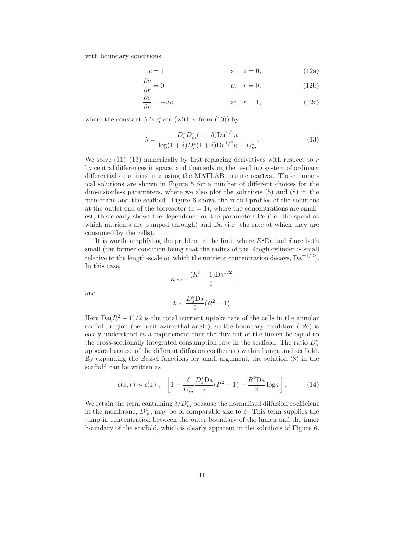with boundary conditions

$$
c = 1 \qquad \qquad \text{at} \quad z = 0,\tag{12a}
$$

$$
\frac{\partial c}{\partial r} = 0 \qquad \qquad \text{at} \quad r = 0, \tag{12b}
$$

$$
\frac{\partial c}{\partial r} = -\lambda c \qquad \qquad \text{at} \quad r = 1,
$$
\n(12c)

where the constant  $\lambda$  is given (with  $\kappa$  from (10)) by

$$
\lambda = \frac{D_s^* D_m^* (1+\delta) D_a^{1/2} \kappa}{\log(1+\delta) D_s^* (1+\delta) D_a^{1/2} \kappa - D_m^*}.
$$
\n(13)

We solve  $(11)$ – $(13)$  numerically by first replacing derivatives with respect to r by central differences in space, and then solving the resulting system of ordinary differential equations in  $z$  using the MATLAB routine ode15s. These numerical solutions are shown in Figure 5 for a number of different choices for the dimensionless parameters, where we also plot the solutions (5) and (8) in the membrane and the scaffold. Figure 6 shows the radial profiles of the solutions at the outlet end of the bioreactor  $(z = 1)$ , where the concentrations are smallest; this clearly shows the dependence on the parameters Pe (i.e. the speed at which nutrients are pumped through) and Da (i.e. the rate at which they are consumed by the cells).

It is worth simplifying the problem in the limit where  $R^2Da$  and  $\delta$  are both small (the former condition being that the radius of the Krogh cylinder is small relative to the length-scale on which the nutrient concentration decays,  $Da^{-1/2}$ ). In this case,

$$
\kappa \sim -\frac{(R^2 - 1)\text{Da}^{1/2}}{2}
$$

and

$$
\lambda \sim \frac{D_s^* \text{Da}}{2} (R^2 - 1).
$$

Here  $\text{Da}(R^2-1)/2$  is the total nutrient uptake rate of the cells in the annular scaffold region (per unit azimuthal angle), so the boundary condition (12c) is easily understood as a requirement that the flux out of the lumen be equal to the cross-sectionally integrated consumption rate in the scaffold. The ratio  $D_s^*$ appears because of the different diffusion coefficients within lumen and scaffold. By expanding the Bessel functions for small argument, the solution (8) in the scaffold can be written as

$$
c(z,r) \sim c(z)|_{1-} \left[ 1 - \frac{\delta}{D_m^*} \frac{D_s^* \text{Da}}{2} (R^2 - 1) - \frac{R^2 \text{Da}}{2} \log r \right]. \tag{14}
$$

We retain the term containing  $\delta/D_m^*$  because the normalised diffusion coefficient in the membrane,  $D_m^*$ , may be of comparable size to  $\delta$ . This term supplies the jump in concentration between the outer boundary of the lumen and the inner boundary of the scaffold, which is clearly apparent in the solutions of Figure 6.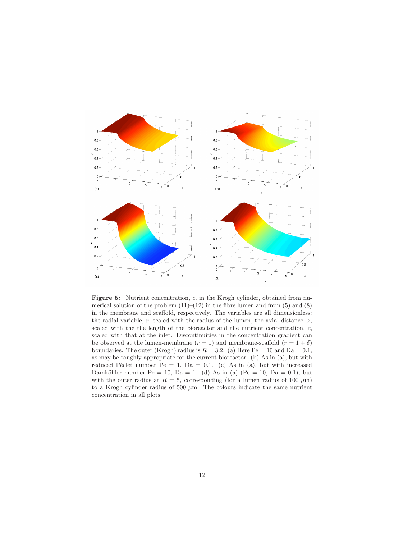

Figure 5: Nutrient concentration, c, in the Krogh cylinder, obtained from numerical solution of the problem  $(11)$ – $(12)$  in the fibre lumen and from  $(5)$  and  $(8)$ in the membrane and scaffold, respectively. The variables are all dimensionless: the radial variable,  $r$ , scaled with the radius of the lumen, the axial distance,  $z$ , scaled with the the length of the bioreactor and the nutrient concentration,  $c$ , scaled with that at the inlet. Discontinuities in the concentration gradient can be observed at the lumen-membrane  $(r = 1)$  and membrane-scaffold  $(r = 1 + \delta)$ boundaries. The outer (Krogh) radius is  $R = 3.2$ . (a) Here Pe = 10 and Da = 0.1, as may be roughly appropriate for the current bioreactor. (b) As in (a), but with reduced Péclet number Pe = 1, Da = 0.1. (c) As in (a), but with increased Damköhler number Pe = 10, Da = 1. (d) As in (a) (Pe = 10, Da = 0.1), but with the outer radius at  $R = 5$ , corresponding (for a lumen radius of 100  $\mu$ m) to a Krogh cylinder radius of 500  $\mu$ m. The colours indicate the same nutrient concentration in all plots.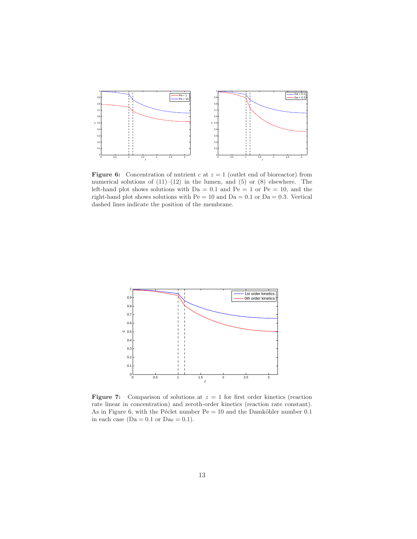

**Figure 6:** Concentration of nutrient c at  $z = 1$  (outlet end of bioreactor) from numerical solutions of  $(11)–(12)$  in the lumen, and  $(5)$  or  $(8)$  elsewhere. The left-hand plot shows solutions with  $Da = 0.1$  and  $Pe = 1$  or  $Pe = 10$ , and the right-hand plot shows solutions with  $Pe = 10$  and  $Da = 0.1$  or  $Da = 0.3$ . Vertical dashed lines indicate the position of the membrane.



**Figure 7:** Comparison of solutions at  $z = 1$  for first order kinetics (reaction rate linear in concentration) and zeroth-order kinetics (reaction rate constant). As in Figure 6, with the Péclet number  $Pe = 10$  and the Damköhler number 0.1 in each case ( $Da = 0.1$  or  $Da_0 = 0.1$ ).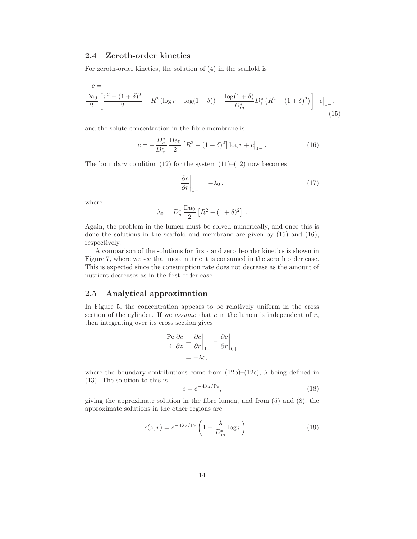#### 2.4 Zeroth-order kinetics

For zeroth-order kinetics, the solution of (4) in the scaffold is

$$
c = \frac{\text{Da}_0}{2} \left[ \frac{r^2 - (1+\delta)^2}{2} - R^2 \left( \log r - \log(1+\delta) \right) - \frac{\log(1+\delta)}{D_m^*} D_s^* \left( R^2 - (1+\delta)^2 \right) \right] + c \Big|_{1-},\tag{15}
$$

and the solute concentration in the fibre membrane is

$$
c = -\frac{D_s^*}{D_m^*} \frac{\text{Da}_0}{2} \left[ R^2 - (1+\delta)^2 \right] \log r + c \big|_{1-} \,. \tag{16}
$$

The boundary condition  $(12)$  for the system  $(11)–(12)$  now becomes

$$
\left. \frac{\partial c}{\partial r} \right|_{1-} = -\lambda_0 \,, \tag{17}
$$

where

$$
\lambda_0 = D_s^* \frac{\text{Da}_0}{2} \left[ R^2 - (1+\delta)^2 \right].
$$

Again, the problem in the lumen must be solved numerically, and once this is done the solutions in the scaffold and membrane are given by (15) and (16), respectively.

A comparison of the solutions for first- and zeroth-order kinetics is shown in Figure 7, where we see that more nutrient is consumed in the zeroth order case. This is expected since the consumption rate does not decrease as the amount of nutrient decreases as in the first-order case.

#### 2.5 Analytical approximation

In Figure 5, the concentration appears to be relatively uniform in the cross section of the cylinder. If we *assume* that  $c$  in the lumen is independent of  $r$ , then integrating over its cross section gives

$$
\frac{\text{Pe}}{4} \frac{\partial c}{\partial z} = \frac{\partial c}{\partial r} \bigg|_{1-} - \frac{\partial c}{\partial r} \bigg|_{0+}
$$
  
= -\lambda c,

where the boundary contributions come from  $(12b)-(12c)$ ,  $\lambda$  being defined in (13). The solution to this is

$$
c = e^{-4\lambda z / \text{Pe}},\tag{18}
$$

giving the approximate solution in the fibre lumen, and from (5) and (8), the approximate solutions in the other regions are

$$
c(z,r) = e^{-4\lambda z/\text{Pe}} \left( 1 - \frac{\lambda}{D_m^*} \log r \right)
$$
 (19)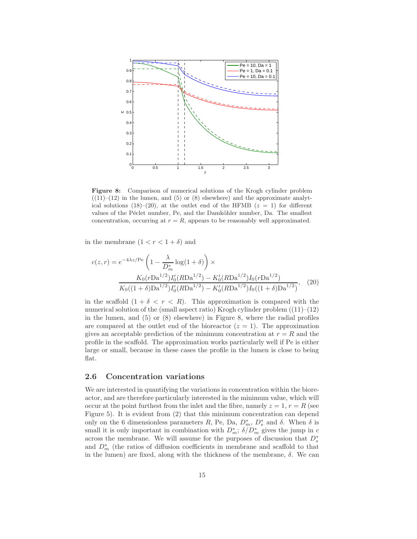

Figure 8: Comparison of numerical solutions of the Krogh cylinder problem  $((11)–(12)$  in the lumen, and  $(5)$  or  $(8)$  elsewhere) and the approximate analytical solutions (18)–(20), at the outlet end of the HFMB ( $z = 1$ ) for different values of the Péclet number, Pe, and the Damköhler number, Da. The smallest concentration, occurring at  $r = R$ , appears to be reasonably well approximated.

in the membrane  $(1 < r < 1 + \delta)$  and

$$
c(z,r) = e^{-4\lambda z/\text{Pe}} \left( 1 - \frac{\lambda}{D_m^*} \log(1+\delta) \right) \times
$$

$$
\frac{K_0 (r \text{Da}^{1/2}) I_0'(R \text{Da}^{1/2}) - K_0'(R \text{Da}^{1/2}) I_0(r \text{Da}^{1/2})}{K_0((1+\delta) \text{Da}^{1/2}) I_0'(R \text{Da}^{1/2}) - K_0'(R \text{Da}^{1/2}) I_0((1+\delta) \text{Da}^{1/2})}, \quad (20)
$$

in the scaffold  $(1 + \delta < r < R)$ . This approximation is compared with the numerical solution of the (small aspect ratio) Krogh cylinder problem  $((11)–(12)$ in the lumen, and (5) or (8) elsewhere) in Figure 8, where the radial profiles are compared at the outlet end of the bioreactor  $(z = 1)$ . The approximation gives an acceptable prediction of the minimum concentration at  $r = R$  and the profile in the scaffold. The approximation works particularly well if Pe is either large or small, because in these cases the profile in the lumen is close to being flat.

#### 2.6 Concentration variations

We are interested in quantifying the variations in concentration within the bioreactor, and are therefore particularly interested in the minimum value, which will occur at the point furthest from the inlet and the fibre, namely  $z = 1$ ,  $r = R$  (see Figure 5). It is evident from (2) that this minimum concentration can depend only on the 6 dimensionless parameters R, Pe, Da,  $D_m^*$ ,  $D_s^*$  and  $\delta$ . When  $\delta$  is small it is only important in combination with  $D_m^*$ ;  $\delta/D_m^*$  gives the jump in c across the membrane. We will assume for the purposes of discussion that  $D_s^*$ and  $D_m^*$  (the ratios of diffusion coefficients in membrane and scaffold to that in the lumen) are fixed, along with the thickness of the membrane,  $\delta$ . We can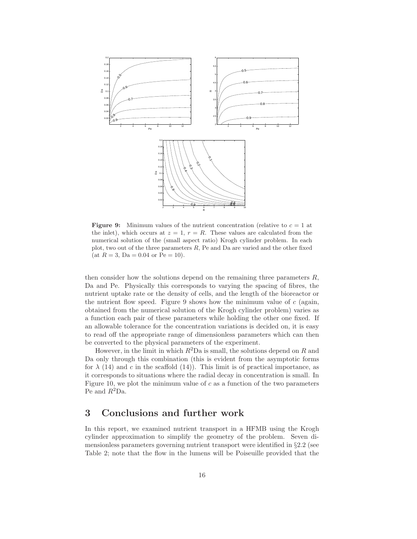

**Figure 9:** Minimum values of the nutrient concentration (relative to  $c = 1$  at the inlet), which occurs at  $z = 1$ ,  $r = R$ . These values are calculated from the numerical solution of the (small aspect ratio) Krogh cylinder problem. In each plot, two out of the three parameters  $R$ , Pe and Da are varied and the other fixed (at  $R = 3$ , Da = 0.04 or Pe = 10).

then consider how the solutions depend on the remaining three parameters  $R$ , Da and Pe. Physically this corresponds to varying the spacing of fibres, the nutrient uptake rate or the density of cells, and the length of the bioreactor or the nutrient flow speed. Figure 9 shows how the minimum value of  $c$  (again, obtained from the numerical solution of the Krogh cylinder problem) varies as a function each pair of these parameters while holding the other one fixed. If an allowable tolerance for the concentration variations is decided on, it is easy to read off the appropriate range of dimensionless parameters which can then be converted to the physical parameters of the experiment.

However, in the limit in which  $R^2Da$  is small, the solutions depend on R and Da only through this combination (this is evident from the asymptotic forms for  $\lambda$  (14) and c in the scaffold (14)). This limit is of practical importance, as it corresponds to situations where the radial decay in concentration is small. In Figure 10, we plot the minimum value of  $c$  as a function of the two parameters Pe and  $R^2$ Da.

## 3 Conclusions and further work

In this report, we examined nutrient transport in a HFMB using the Krogh cylinder approximation to simplify the geometry of the problem. Seven dimensionless parameters governing nutrient transport were identified in §2.2 (see Table 2; note that the flow in the lumens will be Poiseuille provided that the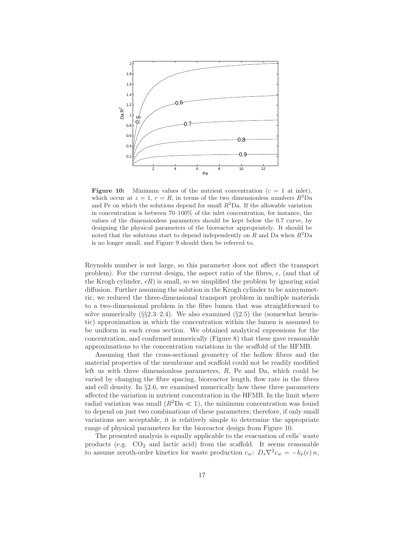

**Figure 10:** Minimum values of the nutrient concentration  $(c = 1$  at inlet), which occur at  $z = 1$ ,  $r = R$ , in terms of the two dimensionless numbers  $R^2Da$ and Pe on which the solutions depend for small  $R^2$ Da. If the allowable variation in concentration is between 70–100% of the inlet concentration, for instance, the values of the dimensionless parameters should be kept below the 0.7 curve, by designing the physical parameters of the bioreactor appropriately. It should be noted that the solutions start to depend independently on  $R$  and Da when  $R^2$ Da is no longer small, and Figure 9 should then be referred to.

Reynolds number is not large, so this parameter does not affect the transport problem). For the current design, the aspect ratio of the fibres,  $\epsilon$ , (and that of the Krogh cylinder,  $\epsilon R$ ) is small, so we simplified the problem by ignoring axial diffusion. Further assuming the solution in the Krogh cylinder to be axisymmetric, we reduced the three-dimensional transport problem in multiple materials to a two-dimensional problem in the fibre lumen that was straightforward to solve numerically  $(\S_{\S}2.3-2.4)$ . We also examined  $(\S_{\S}2.5)$  the (somewhat heuristic) approximation in which the concentration within the lumen is assumed to be uniform in each cross section. We obtained analytical expressions for the concentration, and confirmed numerically (Figure 8) that these gave reasonable approximations to the concentration variations in the scaffold of the HFMB.

Assuming that the cross-sectional geometry of the hollow fibres and the material properties of the membrane and scaffold could not be readily modified left us with three dimensionless parameters, R, Pe and Da, which could be varied by changing the fibre spacing, bioreactor length, flow rate in the fibres and cell density. In  $\S2.6$ , we examined numerically how these three parameters affected the variation in nutrient concentration in the HFMB. In the limit where radial variation was small  $(R^2\text{Da} \ll 1)$ , the minimum concentration was found to depend on just two combinations of these parameters; therefore, if only small variations are acceptable, it is relatively simple to determine the appropriate range of physical parameters for the bioreactor design from Figure 10.

The presented analysis is equally applicable to the evacuation of cells' waste products (e.g.  $CO<sub>2</sub>$  and lactic acid) from the scaffold. It seems reasonable to assume zeroth-order kinetics for waste production  $c_w$ :  $D_s \nabla^2 c_w = -k_p(c) n$ ,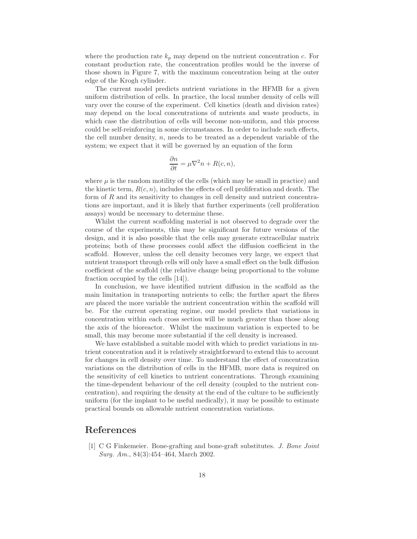where the production rate  $k_p$  may depend on the nutrient concentration c. For constant production rate, the concentration profiles would be the inverse of those shown in Figure 7, with the maximum concentration being at the outer edge of the Krogh cylinder.

The current model predicts nutrient variations in the HFMB for a given uniform distribution of cells. In practice, the local number density of cells will vary over the course of the experiment. Cell kinetics (death and division rates) may depend on the local concentrations of nutrients and waste products, in which case the distribution of cells will become non-uniform, and this process could be self-reinforcing in some circumstances. In order to include such effects, the cell number density,  $n$ , needs to be treated as a dependent variable of the system; we expect that it will be governed by an equation of the form

$$
\frac{\partial n}{\partial t} = \mu \nabla^2 n + R(c, n),
$$

where  $\mu$  is the random motility of the cells (which may be small in practice) and the kinetic term,  $R(c, n)$ , includes the effects of cell proliferation and death. The form of  $R$  and its sensitivity to changes in cell density and nutrient concentrations are important, and it is likely that further experiments (cell proliferation assays) would be necessary to determine these.

Whilst the current scaffolding material is not observed to degrade over the course of the experiments, this may be significant for future versions of the design, and it is also possible that the cells may generate extracellular matrix proteins; both of these processes could affect the diffusion coefficient in the scaffold. However, unless the cell density becomes very large, we expect that nutrient transport through cells will only have a small effect on the bulk diffusion coefficient of the scaffold (the relative change being proportional to the volume fraction occupied by the cells [14]).

In conclusion, we have identified nutrient diffusion in the scaffold as the main limitation in transporting nutrients to cells; the further apart the fibres are placed the more variable the nutrient concentration within the scaffold will be. For the current operating regime, our model predicts that variations in concentration within each cross section will be much greater than those along the axis of the bioreactor. Whilst the maximum variation is expected to be small, this may become more substantial if the cell density is increased.

We have established a suitable model with which to predict variations in nutrient concentration and it is relatively straightforward to extend this to account for changes in cell density over time. To understand the effect of concentration variations on the distribution of cells in the HFMB, more data is required on the sensitivity of cell kinetics to nutrient concentrations. Through examining the time-dependent behaviour of the cell density (coupled to the nutrient concentration), and requiring the density at the end of the culture to be sufficiently uniform (for the implant to be useful medically), it may be possible to estimate practical bounds on allowable nutrient concentration variations.

### References

[1] C G Finkemeier. Bone-grafting and bone-graft substitutes. J. Bone Joint Surg. Am., 84(3):454–464, March 2002.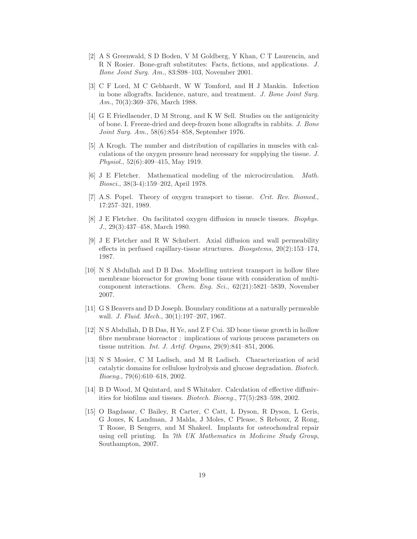- [2] A S Greenwald, S D Boden, V M Goldberg, Y Khan, C T Laurencin, and R N Rosier. Bone-graft substitutes: Facts, fictions, and applications. J. Bone Joint Surg. Am., 83:S98–103, November 2001.
- [3] C F Lord, M C Gebhardt, W W Tomford, and H J Mankin. Infection in bone allografts. Incidence, nature, and treatment. J. Bone Joint Surg. Am., 70(3):369–376, March 1988.
- [4] G E Friedlaender, D M Strong, and K W Sell. Studies on the antigenicity of bone. I. Freeze-dried and deep-frozen bone allografts in rabbits. J. Bone Joint Surg. Am., 58(6):854–858, September 1976.
- [5] A Krogh. The number and distribution of capillaries in muscles with calculations of the oxygen pressure head necessary for supplying the tissue. J. Physiol., 52(6):409–415, May 1919.
- [6] J E Fletcher. Mathematical modeling of the microcirculation. Math. Biosci., 38(3-4):159–202, April 1978.
- [7] A.S. Popel. Theory of oxygen transport to tissue. Crit. Rev. Biomed., 17:257–321, 1989.
- [8] J E Fletcher. On facilitated oxygen diffusion in muscle tissues. Biophys. J., 29(3):437–458, March 1980.
- [9] J E Fletcher and R W Schubert. Axial diffusion and wall permeability effects in perfused capillary-tissue structures. *Biosystems*,  $20(2):153-174$ , 1987.
- [10] N S Abdullah and D B Das. Modelling nutrient transport in hollow fibre membrane bioreactor for growing bone tissue with consideration of multicomponent interactions. Chem. Eng. Sci., 62(21):5821–5839, November 2007.
- [11] G S Beavers and D D Joseph. Boundary conditions at a naturally permeable wall. J. Fluid. Mech., 30(1):197-207, 1967.
- [12] N S Abdullah, D B Das, H Ye, and Z F Cui. 3D bone tissue growth in hollow fibre membrane bioreactor : implications of various process parameters on tissue nutrition. Int. J. Artif. Organs, 29(9):841–851, 2006.
- [13] N S Mosier, C M Ladisch, and M R Ladisch. Characterization of acid catalytic domains for cellulose hydrolysis and glucose degradation. Biotech. Bioeng., 79(6):610–618, 2002.
- [14] B D Wood, M Quintard, and S Whitaker. Calculation of effective diffusivities for biofilms and tissues. Biotech. Bioeng., 77(5):283–598, 2002.
- [15] O Bagdasar, C Bailey, R Carter, C Catt, L Dyson, R Dyson, L Geris, G Jones, K Landman, J Malda, J Moles, C Please, S Reboux, Z Rong, T Roose, B Sengers, and M Shakeel. Implants for osteochondral repair using cell printing. In 7th UK Mathematics in Medicine Study Group, Southampton, 2007.